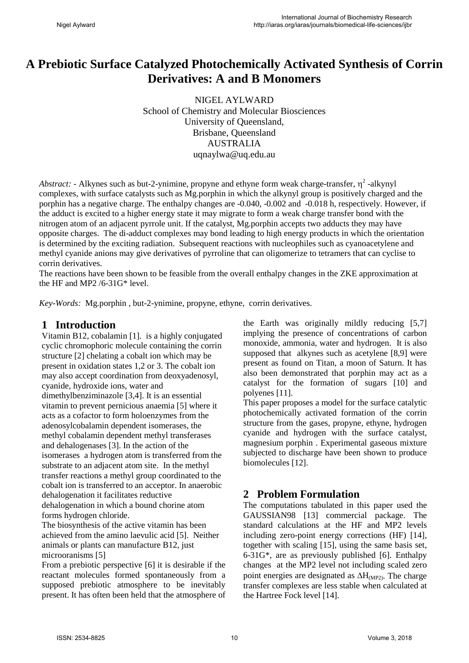# **A Prebiotic Surface Catalyzed Photochemically Activated Synthesis of Corrin Derivatives: A and B Monomers**

NIGEL AYLWARD School of Chemistry and Molecular Biosciences University of Queensland, Brisbane, Queensland AUSTRALIA uqnaylwa@uq.edu.au

*Abstract:* - Alkynes such as but-2-ynimine, propyne and ethyne form weak charge-transfer,  $\eta^2$ -alkynyl complexes, with surface catalysts such as Mg.porphin in which the alkynyl group is positively charged and the porphin has a negative charge. The enthalpy changes are -0.040, -0.002 and -0.018 h, respectively. However, if the adduct is excited to a higher energy state it may migrate to form a weak charge transfer bond with the nitrogen atom of an adjacent pyrrole unit. If the catalyst, Mg.porphin accepts two adducts they may have opposite charges. The di-adduct complexes may bond leading to high energy products in which the orientation is determined by the exciting radiation. Subsequent reactions with nucleophiles such as cyanoacetylene and methyl cyanide anions may give derivatives of pyrroline that can oligomerize to tetramers that can cyclise to corrin derivatives.

The reactions have been shown to be feasible from the overall enthalpy changes in the ZKE approximation at the HF and MP2 /6-31G\* level.

*Key-Words:* Mg.porphin , but-2-ynimine, propyne, ethyne, corrin derivatives.

# **1 Introduction**

Vitamin B12, cobalamin [1]. is a highly conjugated cyclic chromophoric molecule containing the corrin structure [2] chelating a cobalt ion which may be present in oxidation states 1,2 or 3. The cobalt ion may also accept coordination from deoxyadenosyl, cyanide, hydroxide ions, water and dimethylbenziminazole [3,4]. It is an essential vitamin to prevent pernicious anaemia [5] where it acts as a cofactor to form holoenzymes from the adenosylcobalamin dependent isomerases, the methyl cobalamin dependent methyl transferases and dehalogenases [3]. In the action of the isomerases a hydrogen atom is transferred from the substrate to an adjacent atom site. In the methyl transfer reactions a methyl group coordinated to the cobalt ion is transferred to an acceptor. In anaerobic dehalogenation it facilitates reductive dehalogenation in which a bound chorine atom

forms hydrogen chloride. The biosynthesis of the active vitamin has been achieved from the amino laevulic acid [5]. Neither animals or plants can manufacture B12, just microoranisms [5]

From a prebiotic perspective [6] it is desirable if the reactant molecules formed spontaneously from a supposed prebiotic atmosphere to be inevitably present. It has often been held that the atmosphere of

the Earth was originally mildly reducing [5,7] implying the presence of concentrations of carbon monoxide, ammonia, water and hydrogen. It is also supposed that alkynes such as acetylene [8,9] were present as found on Titan, a moon of Saturn. It has also been demonstrated that porphin may act as a catalyst for the formation of sugars [10] and polyenes [11].

This paper proposes a model for the surface catalytic photochemically activated formation of the corrin structure from the gases, propyne, ethyne, hydrogen cyanide and hydrogen with the surface catalyst, magnesium porphin . Experimental gaseous mixture subjected to discharge have been shown to produce biomolecules [12].

# **2 Problem Formulation**

The computations tabulated in this paper used the GAUSSIAN98 [13] commercial package. The standard calculations at the HF and MP2 levels including zero-point energy corrections (HF) [14], together with scaling [15], using the same basis set, 6-31G\*, are as previously published [6]. Enthalpy changes at the MP2 level not including scaled zero point energies are designated as  $\Delta H_{(MP2)}$ . The charge transfer complexes are less stable when calculated at the Hartree Fock level [14].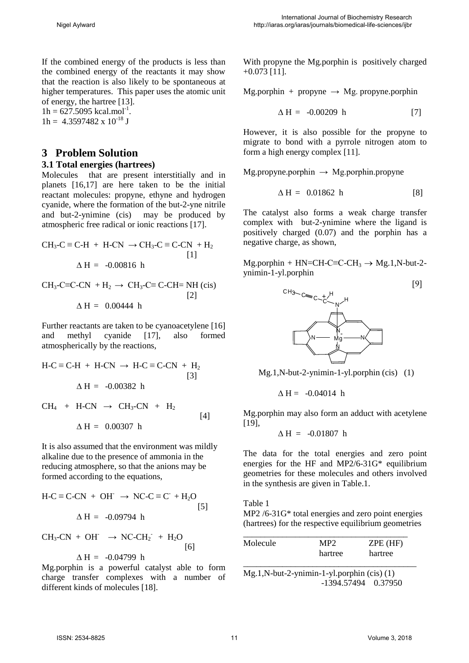If the combined energy of the products is less than the combined energy of the reactants it may show that the reaction is also likely to be spontaneous at higher temperatures. This paper uses the atomic unit of energy, the hartree [13].

 $1h = 627.5095$  kcal.mol<sup>-1</sup>.  $1h = 4.3597482 \times 10^{-18}$  J

# **3 Problem Solution**

#### **3.1 Total energies (hartrees)**

Molecules that are present interstitially and in planets [16,17] are here taken to be the initial reactant molecules: propyne, ethyne and hydrogen cyanide, where the formation of the but-2-yne nitrile and but-2-ynimine (cis) may be produced by atmospheric free radical or ionic reactions [17].

$$
CH_3-C \equiv C-H + H-CN \rightarrow CH_3-C \equiv C-CN + H_2
$$
  
[1]  

$$
\Delta H = -0.00816 \text{ h}
$$

$$
CH_3-C \equiv C-CN + H_2 \rightarrow CH_3-C \equiv C-CH = NH (cis)
$$
  
[2]  

$$
\Delta H = 0.00444 \text{ h}
$$

Further reactants are taken to be cyanoacetylene [16] and methyl cyanide [17], also formed atmospherically by the reactions,

$$
H-C \equiv C-H + H-CN \rightarrow HC \equiv C-CN + H_2
$$
  
\n[3]  
\n
$$
\Delta H = -0.00382 \text{ h}
$$
  
\n
$$
CH_4 + H-CN \rightarrow CH_3-CN + H_2
$$
  
\n
$$
\Delta H = 0.00307 \text{ h}
$$

It is also assumed that the environment was mildly alkaline due to the presence of ammonia in the reducing atmosphere, so that the anions may be formed according to the equations,

$$
H-C \equiv C-CN + OH^- \rightarrow NC-C \equiv C^+ + H_2O
$$
  
 
$$
\Delta H = -0.09794 \text{ h}
$$

$$
CH_3-CN + OH \rightarrow NC-CH_2 + H_2O
$$
  
\n
$$
\Delta H = -0.04799 \text{ h}
$$

Mg.porphin is a powerful catalyst able to form charge transfer complexes with a number of different kinds of molecules [18].

With propyne the Mg.porphin is positively charged +0.073 [11].

Mg.porphin + propyne  $\rightarrow$  Mg. propyne.porphin

$$
\Delta H = -0.00209 \text{ h} \tag{7}
$$

However, it is also possible for the propyne to migrate to bond with a pyrrole nitrogen atom to form a high energy complex [11].

 $Mg$ .propyne.porphin  $\rightarrow Mg$ .porphin.propyne

$$
\Delta H = 0.01862 \text{ h} \tag{8}
$$

The catalyst also forms a weak charge transfer complex with but-2-ynimine where the ligand is positively charged (0.07) and the porphin has a negative charge, as shown,

Mg.porphin + HN=CH-C≡C-CH<sub>3</sub>  $\rightarrow$  Mg.1,N-but-2ynimin-1-yl.porphin



Mg.1,N-but-2-ynimin-1-yl.porphin (cis) (1)

$$
\Delta H = -0.04014 \text{ h}
$$

Mg.porphin may also form an adduct with acetylene [19],

$$
\Delta H = -0.01807 \text{ h}
$$

The data for the total energies and zero point energies for the HF and MP2/6-31G\* equilibrium geometries for these molecules and others involved in the synthesis are given in Table.1.

Table 1 MP2 /6-31G\* total energies and zero point energies (hartrees) for the respective equilibrium geometries

| Molecule | MP2     | $ZPE$ (HF) |
|----------|---------|------------|
|          | hartree | hartree    |

\_\_\_\_\_\_\_\_\_\_\_\_\_\_\_\_\_\_\_\_\_\_\_\_\_\_\_\_\_\_\_\_\_\_\_\_\_\_\_\_ Mg.1,N-but-2-ynimin-1-yl.porphin (cis) (1) -1394.57494 0.37950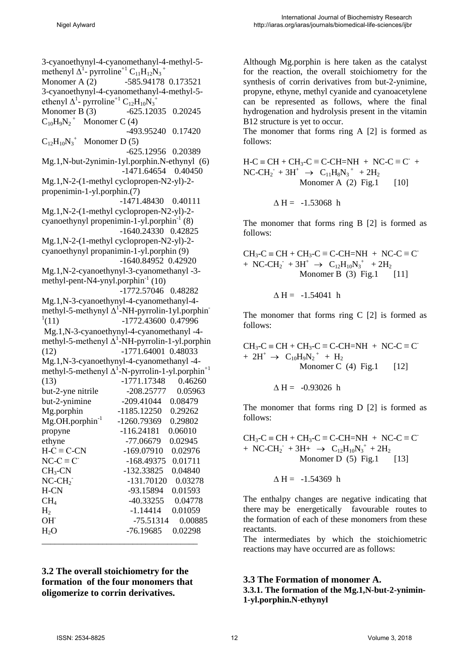3-cyanoethynyl-4-cyanomethanyl-4-methyl-5 methenyl  $\Delta^1$ - pyrroline<sup>+1</sup> C<sub>11</sub>H<sub>12</sub>N<sub>3</sub><sup>+</sup> Monomer A (2) -585.94178 0.173521 3-cyanoethynyl-4-cyanomethanyl-4-methyl-5 ethenyl  $\Delta^1$ - pyrroline<sup>+1</sup> C<sub>12</sub>H<sub>10</sub>N<sub>3</sub><sup>+</sup> Monomer B (3)  $-625.12035$  0.20245  $C_{10}H_9N_2$ <sup>+</sup> Monomer C (4) -493.95240 0.17420  $C_{12}H_{10}N_3^+$  Monomer D (5) -625.12956 0.20389 Mg.1,N-but-2ynimin-1yl.porphin.N-ethynyl (6) -1471.64654 0.40450 Mg.1,N-2-(1-methyl cyclopropen-N2-yl)-2 propenimin-1-yl.porphin.(7) -1471.48430 0.40111 Mg.1,N-2-(1-methyl cyclopropen-N2-yl)-2 cyanoethynyl propenimin-1-yl.porphin $^{-1}$  (8) -1640.24330 0.42825 Mg.1,N-2-(1-methyl cyclopropen-N2-yl)-2 cyanoethynyl propanimin-1-yl.porphin (9) -1640.84952 0.42920 Mg.1,N-2-cyanoethynyl-3-cyanomethanyl -3 methyl-pent-N4-ynyl.porphin $^{-1}$  (10) -1772.57046 0.48282 Mg.1,N-3-cyanoethynyl-4-cyanomethanyl-4 methyl-5-methynyl  $\Delta^1$ -NH-pyrrolin-1yl.porphin  $^{1}(11)$ (11) -1772.43600 0.47996 Mg.1,N-3-cyanoethynyl-4-cyanomethanyl -4 methyl-5-methenyl  $\Delta^1$ -NH-pyrrolin-1-yl.porphin (12) -1771.64001 0.48033 Mg.1,N-3-cyanoethynyl-4-cyanomethanyl -4 methyl-5-methenyl  $\Delta^1$ -N-pyrrolin-1-yl.porphin<sup>+1</sup> (13) -1771.17348 0.46260 but-2-yne nitrile -208.25777 0.05963 but-2-ynimine -209.41044 0.08479 Mg.porphin -1185.12250 0.29262 Mg.OH.porphin<sup>-1</sup> -1260.79369 0.29802 propyne -116.24181 0.06010 ethyne -77.06679 0.02945  $H-C \equiv C-CN$  -169.07910 0.02976<br>  $NC-C \equiv C$  -168.49375 0.01711  $NC-C \equiv C$  -168.49375 0.01711<br>CH<sub>3</sub>-CN -132.33825 0.04840 CH3-CN -132.33825 0.04840  $NC-CH<sub>2</sub>$ - -131.70120 0.03278 H-CN -93.15894 0.01593  $CH<sub>4</sub>$   $-40.33255$   $0.04778$ H<sub>2</sub> -1.14414 0.01059<br>OH -75.51314 0.0088 -75.51314 0.00885 H<sub>2</sub>O -76.19685 0.02298 \_\_\_\_\_\_\_\_\_\_\_\_\_\_\_\_\_\_\_\_\_\_\_\_\_\_\_\_\_\_\_\_\_\_\_\_

**3.2 The overall stoichiometry for the formation of the four monomers that oligomerize to corrin derivatives.** 

Although Mg.porphin is here taken as the catalyst for the reaction, the overall stoichiometry for the synthesis of corrin derivatives from but-2-ynimine, propyne, ethyne, methyl cyanide and cyanoacetylene can be represented as follows, where the final hydrogenation and hydrolysis present in the vitamin B12 structure is yet to occur.

The monomer that forms ring A [2] is formed as follows:

 $H-C \equiv CH + CH_3-C \equiv C-CH=NH + NC-C \equiv C^+ +$  $NC\text{-}CH_2^- + 3H^+ \rightarrow C_{11}H_8N_3^+ + 2H_2$ Monomer A  $(2)$  Fig.1  $[10]$ 

$$
\Delta H = -1.53068 \text{ h}
$$

The monomer that forms ring B [2] is formed as follows:

$$
CH_3-C \equiv CH + CH_3-C \equiv C-CH=NH + NC-C \equiv C
$$
  
+ NC-CH<sub>2</sub><sup>-</sup> + 3H<sup>+</sup>  $\rightarrow$  C<sub>12</sub>H<sub>10</sub>N<sub>3</sub><sup>+</sup> + 2H<sub>2</sub>  
Monomer B (3) Fig.1 [11]

$$
\Delta H = -1.54041 h
$$

The monomer that forms ring C [2] is formed as follows:

 $CH_3-C \equiv CH + CH_3-C \equiv C-CH=NH + NC-C \equiv C^{-}$  $+ 2H^+ \rightarrow C_{10}H_9N_2^+ + H_2$ Monomer C  $(4)$  Fig. 1 [12]

$$
\Delta H = -0.93026 h
$$

The monomer that forms ring D [2] is formed as follows:

 $CH_3-C \equiv CH + CH_3-C \equiv C-CH=NH + NC-C \equiv C$ + NC-CH<sub>2</sub><sup>+</sup> + 3H+  $\rightarrow$  C<sub>12</sub>H<sub>10</sub>N<sub>3</sub><sup>+</sup> + 2H<sub>2</sub> Monomer D  $(5)$  Fig.1 [13]

$$
\Delta H = -1.54369 \text{ h}
$$

The enthalpy changes are negative indicating that there may be energetically favourable routes to the formation of each of these monomers from these reactants.

The intermediates by which the stoichiometric reactions may have occurred are as follows:

## **3.3 The Formation of monomer A.**

**3.3.1. The formation of the Mg.1,N-but-2-ynimin-1-yl.porphin.N-ethynyl**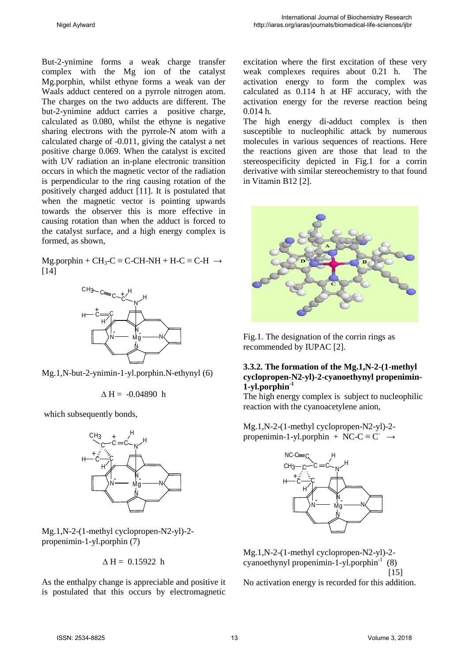But-2-ynimine forms a weak charge transfer complex with the Mg ion of the catalyst Mg.porphin, whilst ethyne forms a weak van der Waals adduct centered on a pyrrole nitrogen atom. The charges on the two adducts are different. The but-2-ynimine adduct carries a positive charge, calculated as 0.080, whilst the ethyne is negative sharing electrons with the pyrrole-N atom with a calculated charge of -0.011, giving the catalyst a net positive charge 0.069. When the catalyst is excited with UV radiation an in-plane electronic transition occurs in which the magnetic vector of the radiation is perpendicular to the ring causing rotation of the positively charged adduct [11]. It is postulated that when the magnetic vector is pointing upwards towards the observer this is more effective in causing rotation than when the adduct is forced to the catalyst surface, and a high energy complex is formed, as shown,

 $Mg.$ porphin + CH<sub>3</sub>-C  $\equiv$  C-CH-NH + H-C  $\equiv$  C-H  $\rightarrow$ [14]



Mg.1,N-but-2-ynimin-1-yl.porphin.N-ethynyl (6)

 $\Delta H = -0.04890 h$ 

which subsequently bonds,



Mg.1,N-2-(1-methyl cyclopropen-N2-yl)-2 propenimin-1-yl.porphin (7)

 $\Delta H = 0.15922 h$ 

As the enthalpy change is appreciable and positive it is postulated that this occurs by electromagnetic

excitation where the first excitation of these very weak complexes requires about 0.21 h. The activation energy to form the complex was calculated as 0.114 h at HF accuracy, with the activation energy for the reverse reaction being 0.014 h.

The high energy di-adduct complex is then susceptible to nucleophilic attack by numerous molecules in various sequences of reactions. Here the reactions given are those that lead to the stereospecificity depicted in Fig.1 for a corrin derivative with similar stereochemistry to that found in Vitamin B12 [2].



Fig.1. The designation of the corrin rings as recommended by IUPAC [2].

#### **3.3.2. The formation of the Mg.1,N-2-(1-methyl cyclopropen-N2-yl)-2-cyanoethynyl propenimin-1-yl.porphin-1**

The high energy complex is subject to nucleophilic reaction with the cyanoacetylene anion,

Mg.1,N-2-(1-methyl cyclopropen-N2-yl)-2 propenimin-1-yl.porphin + NC-C  $\equiv$  C<sup>-</sup>  $\rightarrow$ 



Mg.1,N-2-(1-methyl cyclopropen-N2-yl)-2 cyanoethynyl propenimin-1-yl.porphin $^{-1}$  (8) [15]

No activation energy is recorded for this addition.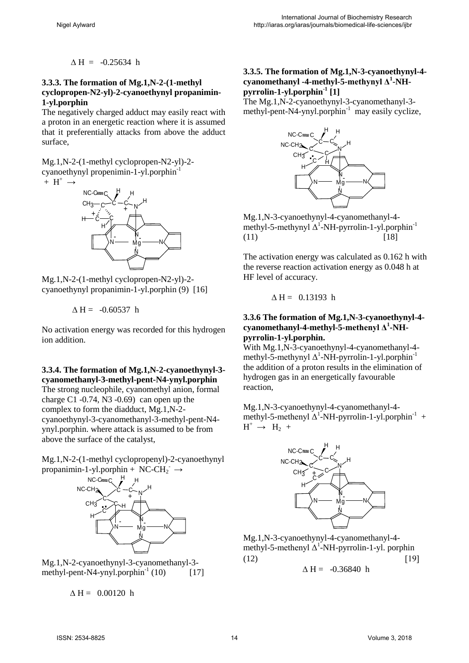$\triangle H = -0.25634$  h

#### **3.3.3. The formation of Mg.1,N-2-(1-methyl cyclopropen-N2-yl)-2-cyanoethynyl propanimin-1-yl.porphin**

The negatively charged adduct may easily react with a proton in an energetic reaction where it is assumed that it preferentially attacks from above the adduct surface,

Mg.1,N-2-(1-methyl cyclopropen-N2-yl)-2 cyanoethynyl propenimin-1-yl.porphin-1





Mg.1,N-2-(1-methyl cyclopropen-N2-yl)-2 cyanoethynyl propanimin-1-yl.porphin (9) [16]

$$
\Delta H = -0.60537 \text{ h}
$$

No activation energy was recorded for this hydrogen ion addition.

### **3.3.4. The formation of Mg.1,N-2-cyanoethynyl-3 cyanomethanyl-3-methyl-pent-N4-ynyl.porphin**

The strong nucleophile, cyanomethyl anion, formal charge C1 $-0.74$ , N3 $-0.69$  can open up the complex to form the diadduct, Mg.1,N-2 cyanoethynyl-3-cyanomethanyl-3-methyl-pent-N4 ynyl.porphin. where attack is assumed to be from above the surface of the catalyst,

Mg.1,N-2-(1-methyl cyclopropenyl)-2-cyanoethynyl propanimin-1-yl.porphin + NC-CH<sub>2</sub>  $\rightarrow$ 



Mg.1,N-2-cyanoethynyl-3-cyanomethanyl-3 methyl-pent-N4-ynyl.porphin<sup>-1</sup> (10)  $[17]$ 

 $\triangle H = 0.00120$  h

### **3.3.5. The formation of Mg.1,N-3-cyanoethynyl-4 cyanomethanyl -4-methyl-5-methynyl Δ<sup>1</sup> -NHpyrrolin-1-yl.porphin-1 [1]**

The Mg.1,N-2-cyanoethynyl-3-cyanomethanyl-3 methyl-pent-N4-ynyl.porphin<sup>-1</sup> may easily cyclize,



Mg.1,N-3-cyanoethynyl-4-cyanomethanyl-4 methyl-5-methynyl  $\Delta^1$ -NH-pyrrolin-1-yl.porphin<sup>-1</sup>  $(11)$  [18]

The activation energy was calculated as 0.162 h with the reverse reaction activation energy as 0.048 h at HF level of accuracy.

 $\Delta H = 0.13193$  h

#### **3.3.6 The formation of Mg.1,N-3-cyanoethynyl-4 cyanomethanyl-4-methyl-5-methenyl Δ<sup>1</sup> -NHpyrrolin-1-yl.porphin.**

With Mg.1,N-3-cyanoethynyl-4-cyanomethanyl-4 methyl-5-methynyl  $\Delta^1$ -NH-pyrrolin-1-yl.porphin<sup>-1</sup> the addition of a proton results in the elimination of hydrogen gas in an energetically favourable reaction,

Mg.1,N-3-cyanoethynyl-4-cyanomethanyl-4 methyl-5-methenyl  $\Delta^1$ -NH-pyrrolin-1-yl.porphin<sup>-1</sup> +  $H^+ \rightarrow H_2 +$ 



Mg.1,N-3-cyanoethynyl-4-cyanomethanyl-4 methyl-5-methenyl  $\Delta^1$ -NH-pyrrolin-1-yl. porphin  $(12)$  [19]

$$
\Delta\,H=\ -0.36840\ h
$$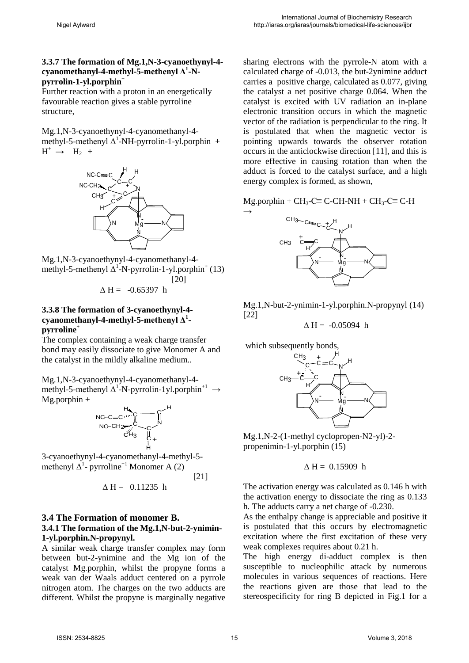#### **3.3.7 The formation of Mg.1,N-3-cyanoethynyl-4 cyanomethanyl-4-methyl-5-methenyl Δ<sup>1</sup> -Npyrrolin-1-yl.porphin+**

Further reaction with a proton in an energetically favourable reaction gives a stable pyrroline structure,

Mg.1,N-3-cyanoethynyl-4-cyanomethanyl-4 methyl-5-methenyl  $\Delta^1$ -NH-pyrrolin-1-yl.porphin +  $H^+ \rightarrow H_2 +$ 



Mg.1,N-3-cyanoethynyl-4-cyanomethanyl-4 methyl-5-methenyl  $\Delta^1$ -N-pyrrolin-1-yl.porphin<sup>+</sup> (13) [20]

$$
\Delta H = -0.65397 \text{ h}
$$

#### **3.3.8 The formation of 3-cyanoethynyl-4 cyanomethanyl-4-methyl-5-methenyl Δ<sup>1</sup> pyrroline<sup>+</sup>**

The complex containing a weak charge transfer bond may easily dissociate to give Monomer A and the catalyst in the mildly alkaline medium..

Mg.1,N-3-cyanoethynyl-4-cyanomethanyl-4 methyl-5-methenyl  $\Delta^1$ -N-pyrrolin-1yl.porphin<sup>+1</sup>  $\rightarrow$ Mg.porphin + H

$$
\begin{array}{ccc}\n\text{NC-CE} & \text{H}_{\text{C}} & \text{C} \\
\text{NC-CH}_{\text{C}} & \text{C} & \text{C} \\
\hline\n\text{C} & \text{C} & \text{C} \\
\end{array}
$$

3-cyanoethynyl-4-cyanomethanyl-4-methyl-5 methenyl  $\Delta^1$ - pyrroline<sup>+1</sup> Monomer A (2)

[21]

$$
\Delta H = 0.11235 h
$$

#### **3.4 The Formation of monomer B. 3.4.1 The formation of the Mg.1,N-but-2-ynimin-1-yl.porphin.N-propynyl.**

A similar weak charge transfer complex may form between but-2-ynimine and the Mg ion of the catalyst Mg.porphin, whilst the propyne forms a weak van der Waals adduct centered on a pyrrole nitrogen atom. The charges on the two adducts are different. Whilst the propyne is marginally negative

sharing electrons with the pyrrole-N atom with a calculated charge of -0.013, the but-2ynimine adduct carries a positive charge, calculated as 0.077, giving the catalyst a net positive charge 0.064. When the catalyst is excited with UV radiation an in-plane electronic transition occurs in which the magnetic vector of the radiation is perpendicular to the ring. It is postulated that when the magnetic vector is pointing upwards towards the observer rotation occurs in the anticlockwise direction [11], and this is more effective in causing rotation than when the adduct is forced to the catalyst surface, and a high energy complex is formed, as shown,

Mg.porphin +  $CH_3$ -C $\equiv$  C-CH-NH + CH<sub>3</sub>-C $\equiv$  C-H



Mg.1,N-but-2-ynimin-1-yl.porphin.N-propynyl (14) [22]

 $\Delta H = -0.05094$  h

which subsequently bonds,

 $\rightarrow$ 



Mg.1,N-2-(1-methyl cyclopropen-N2-yl)-2 propenimin-1-yl.porphin (15)

$$
\Delta H = 0.15909 \text{ h}
$$

The activation energy was calculated as 0.146 h with the activation energy to dissociate the ring as 0.133 h. The adducts carry a net charge of -0.230.

As the enthalpy change is appreciable and positive it is postulated that this occurs by electromagnetic excitation where the first excitation of these very weak complexes requires about 0.21 h.

The high energy di-adduct complex is then susceptible to nucleophilic attack by numerous molecules in various sequences of reactions. Here the reactions given are those that lead to the stereospecificity for ring B depicted in Fig.1 for a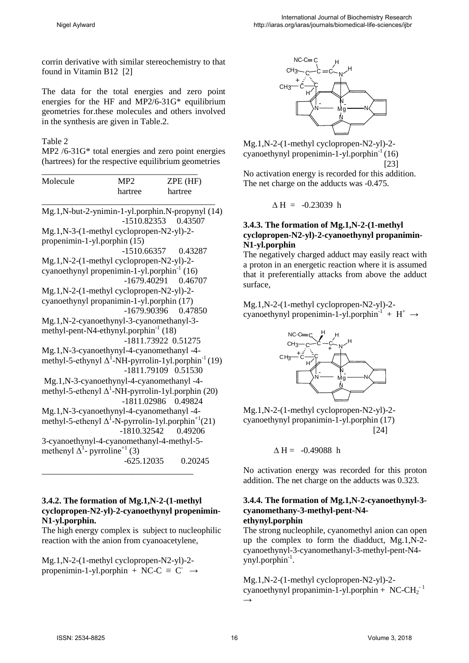corrin derivative with similar stereochemistry to that found in Vitamin B12 [2]

The data for the total energies and zero point energies for the HF and MP2/6-31G\* equilibrium geometries for.these molecules and others involved in the synthesis are given in Table.2.

#### Table 2

MP2 /6-31G\* total energies and zero point energies (hartrees) for the respective equilibrium geometries

| Molecule | MP <sub>2</sub><br>hartree | $ZPE$ (HF)<br>hartree |
|----------|----------------------------|-----------------------|
|          |                            |                       |

- -1510.82353 0.43507
- Mg.1,N-3-(1-methyl cyclopropen-N2-yl)-2 propenimin-1-yl.porphin (15)
	- -1510.66357 0.43287

Mg.1,N-2-(1-methyl cyclopropen-N2-yl)-2 cyanoethynyl propenimin-1-yl.porphin $^{-1}$  (16)

- -1679.40291 0.46707 Mg.1,N-2-(1-methyl cyclopropen-N2-yl)-2 cyanoethynyl propanimin-1-yl.porphin (17)
	- -1679.90396 0.47850
- Mg.1,N-2-cyanoethynyl-3-cyanomethanyl-3 methyl-pent-N4-ethynyl.porphin<sup>-1</sup> (18) -1811.73922 0.51275

Mg.1,N-3-cyanoethynyl-4-cyanomethanyl -4-

- methyl-5-ethynyl  $\Delta^1$ -NH-pyrrolin-1yl.porphin<sup>-1</sup> (19) -1811.79109 0.51530
- Mg.1,N-3-cyanoethynyl-4-cyanomethanyl -4-
- methyl-5-ethenyl  $\Delta^1$ -NH-pyrrolin-1yl.porphin (20) -1811.02986 0.49824
- Mg.1,N-3-cyanoethynyl-4-cyanomethanyl -4 methyl-5-ethenyl  $\Delta^1$ -N-pyrrolin-1yl.porphin<sup>+1</sup>(21)

 -1810.32542 0.49206 3-cyanoethynyl-4-cyanomethanyl-4-methyl-5-

methenyl  $\Delta^1$ - pyrroline<sup>+1</sup> (3) -625.12035 0.20245

\_\_\_\_\_\_\_\_\_\_\_\_\_\_\_\_\_\_\_\_\_\_\_\_\_\_\_\_\_\_\_\_\_\_\_

#### **3.4.2. The formation of Mg.1,N-2-(1-methyl cyclopropen-N2-yl)-2-cyanoethynyl propenimin-N1-yl.porphin.**

The high energy complex is subject to nucleophilic reaction with the anion from cyanoacetylene,

Mg.1,N-2-(1-methyl cyclopropen-N2-yl)-2 propenimin-1-yl.porphin + NC-C  $\equiv$  C<sup>-</sup>  $\rightarrow$ 



Mg.1,N-2-(1-methyl cyclopropen-N2-yl)-2 cyanoethynyl propenimin-1-yl.porphin $^{-1}$  (16) [23]

No activation energy is recorded for this addition. The net charge on the adducts was -0.475.

$$
\Delta H = -0.23039 \text{ h}
$$

### **3.4.3. The formation of Mg.1,N-2-(1-methyl cyclopropen-N2-yl)-2-cyanoethynyl propanimin-N1-yl.porphin**

The negatively charged adduct may easily react with a proton in an energetic reaction where it is assumed that it preferentially attacks from above the adduct surface,

Mg.1,N-2-(1-methyl cyclopropen-N2-yl)-2 cyanoethynyl propenimin-1-yl.porphin<sup>-1</sup> + H<sup>+</sup>  $\rightarrow$ 



Mg.1,N-2-(1-methyl cyclopropen-N2-yl)-2 cyanoethynyl propanimin-1-yl.porphin (17)  $[24]$ 

 $\Delta H = -0.49088$  h

No activation energy was recorded for this proton addition. The net charge on the adducts was 0.323.

#### **3.4.4. The formation of Mg.1,N-2-cyanoethynyl-3 cyanomethany-3-methyl-pent-N4 ethynyl.porphin**

The strong nucleophile, cyanomethyl anion can open up the complex to form the diadduct, Mg.1,N-2 cyanoethynyl-3-cyanomethanyl-3-methyl-pent-N4 ynyl.porphin<sup>-1</sup>.

Mg.1,N-2-(1-methyl cyclopropen-N2-yl)-2 cyanoethynyl propanimin-1-yl.porphin + NC-CH<sub>2</sub><sup>-1</sup>  $\rightarrow$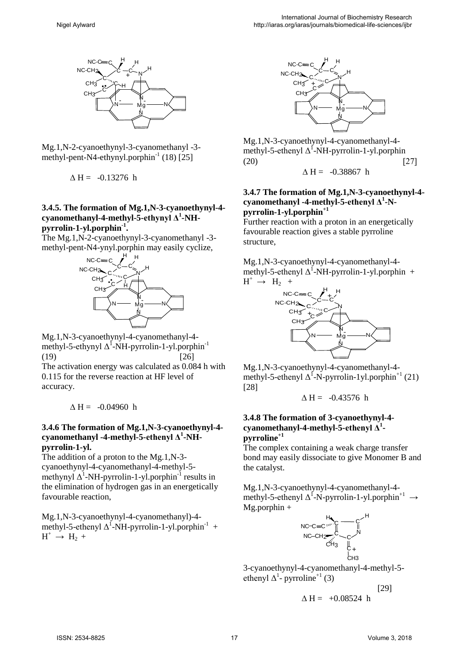

Mg.1,N-2-cyanoethynyl-3-cyanomethanyl -3 methyl-pent-N4-ethynyl.porphin $^{-1}$  (18) [25]

 $\triangle H = -0.13276$  h

#### **3.4.5. The formation of Mg.1,N-3-cyanoethynyl-4 cyanomethanyl-4-methyl-5-ethynyl Δ<sup>1</sup> -NHpyrrolin-1-yl.porphin-1.**

The Mg.1,N-2-cyanoethynyl-3-cyanomethanyl -3 methyl-pent-N4-ynyl.porphin may easily cyclize,



Mg.1,N-3-cyanoethynyl-4-cyanomethanyl-4 methyl-5-ethynyl  $\Delta^1$ -NH-pyrrolin-1-yl.porphin<sup>-1</sup>  $(19)$  [26]

The activation energy was calculated as 0.084 h with 0.115 for the reverse reaction at HF level of accuracy.

 $\triangle H = -0.04960$  h

#### **3.4.6 The formation of Mg.1,N-3-cyanoethynyl-4 cyanomethanyl -4-methyl-5-ethenyl Δ<sup>1</sup> -NHpyrrolin-1-yl.**

The addition of a proton to the Mg.1,N-3 cyanoethynyl-4-cyanomethanyl-4-methyl-5 methynyl  $\Delta^1$ -NH-pyrrolin-1-yl.porphin<sup>-1</sup> results in the elimination of hydrogen gas in an energetically favourable reaction,

Mg.1,N-3-cyanoethynyl-4-cyanomethanyl)-4 methyl-5-ethenyl  $\Delta^1$ -NH-pyrrolin-1-yl.porphin<sup>-1</sup> +  $H^+ \rightarrow H_2 +$ 



Mg.1,N-3-cyanoethynyl-4-cyanomethanyl-4 methyl-5-ethenyl  $\Delta^1$ -NH-pyrrolin-1-yl.porphin  $(20)$  [27]

$$
\Delta\,H\!=\!-0.38867\ h
$$

#### **3.4.7 The formation of Mg.1,N-3-cyanoethynyl-4 cyanomethanyl -4-methyl-5-ethenyl Δ<sup>1</sup> -Npyrrolin-1-yl.porphin+1**

Further reaction with a proton in an energetically favourable reaction gives a stable pyrroline structure,

Mg.1,N-3-cyanoethynyl-4-cyanomethanyl-4 methyl-5-ethenyl  $\Delta^1$ -NH-pyrrolin-1-yl.porphin +  $H^+ \rightarrow H_2 +$ 



Mg.1,N-3-cyanoethynyl-4-cyanomethanyl-4 methyl-5-ethenyl  $\Delta^1$ -N-pyrrolin-1yl.porphin<sup>+1</sup> (21) [28]

$$
\Delta\,H=\ -0.43576\ h
$$

#### **3.4.8 The formation of 3-cyanoethynyl-4 cyanomethanyl-4-methyl-5-ethenyl Δ<sup>1</sup> pyrroline+1**

The complex containing a weak charge transfer bond may easily dissociate to give Monomer B and the catalyst.

Mg.1,N-3-cyanoethynyl-4-cyanomethanyl-4 methyl-5-ethenyl  $\Delta^1$ -N-pyrrolin-1-yl.porphin<sup>+1</sup>  $\rightarrow$  $Mg.$ porphin +



 $\triangle H = +0.08524$  h

3-cyanoethynyl-4-cyanomethanyl-4-methyl-5 ethenyl  $\Delta^1$ - pyrroline<sup>+1</sup> (3)

[29]

ISSN: 2534-8825 17 Volume 3, 2018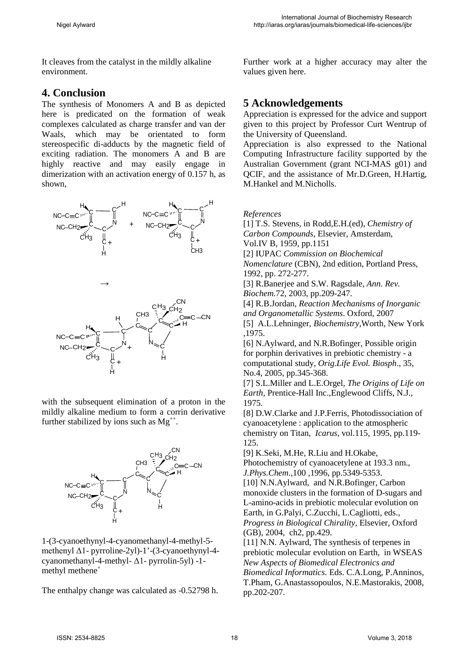It cleaves from the catalyst in the mildly alkaline environment.

### **4. Conclusion**

The synthesis of Monomers A and B as depicted here is predicated on the formation of weak complexes calculated as charge transfer and van der Waals, which may be orientated to form stereospecific di-adducts by the magnetic field of exciting radiation. The monomers A and B are highly reactive and may easily engage in dimerization with an activation energy of 0.157 h, as shown,



with the subsequent elimination of a proton in the mildly alkaline medium to form a corrin derivative further stabilized by ions such as  $Mg^{++}$ .



1-(3-cyanoethynyl-4-cyanomethanyl-4-methyl-5 methenyl Δ1- pyrroline-2yl)-1'-(3-cyanoethynyl-4 cyanomethanyl-4-methyl- Δ1- pyrrolin-5yl) -1 methyl methene<sup>+</sup>

The enthalpy change was calculated as -0.52798 h.

Further work at a higher accuracy may alter the values given here.

# **5 Acknowledgements**

Appreciation is expressed for the advice and support given to this project by Professor Curt Wentrup of the University of Queensland.

Appreciation is also expressed to the National Computing Infrastructure facility supported by the Australian Government (grant NCI-MAS g01) and QCIF, and the assistance of Mr.D.Green, H.Hartig, M.Hankel and M.Nicholls.

*References* 

[1] T.S. Stevens, in Rodd,E.H.(ed), *Chemistry of Carbon Compounds*, Elsevier, Amsterdam, Vol.IV B, 1959, pp.1151 [2] IUPAC *Commission on Biochemical Nomenclature* (CBN), 2nd edition, Portland Press, 1992, pp. 272-277. [3] R.Banerjee and S.W. Ragsdale, *Ann. Rev. Biochem.*72, 2003, pp.209-247. [4] R.B.Jordan, *Reaction Mechanisms of Inorganic and Organometallic Systems*. Oxford, 2007 [5] A.L.Lehninger, *Biochemistry*,Worth, New York ,1975. [6] N.Aylward, and N.R.Bofinger, Possible origin for porphin derivatives in prebiotic chemistry - a computational study, *Orig.Life Evol. Biosph*., 35, No.4, 2005, pp.345-368.

[7] S.L.Miller and L.E.Orgel, *The Origins of Life on Earth*, Prentice-Hall Inc.,Englewood Cliffs, N.J., 1975.

[8] D.W.Clarke and J.P.Ferris, Photodissociation of cyanoacetylene : application to the atmospheric chemistry on Titan, *Icarus*, vol.115, 1995, pp.119- 125.

[9] K.Seki, M.He, R.Liu and H.Okabe,

Photochemistry of cyanoacetylene at 193.3 nm., *J.Phys.Chem*.,100 ,1996, pp.5349-5353.

[10] N.N.Aylward, and N.R.Bofinger, Carbon monoxide clusters in the formation of D-sugars and L-amino-acids in prebiotic molecular evolution on Earth, in G.Palyi, C.Zucchi, L.Cagliotti, eds., *Progress in Biological Chirality*, Elsevier, Oxford (GB), 2004, ch2, pp.429.

[11] N.N. Aylward, The synthesis of terpenes in prebiotic molecular evolution on Earth, in WSEAS *New Aspects of Biomedical Electronics and Biomedical Informatics*. Eds. C.A.Long, P.Anninos, T.Pham, G.Anastassopoulos, N.E.Mastorakis, 2008, pp.202-207.